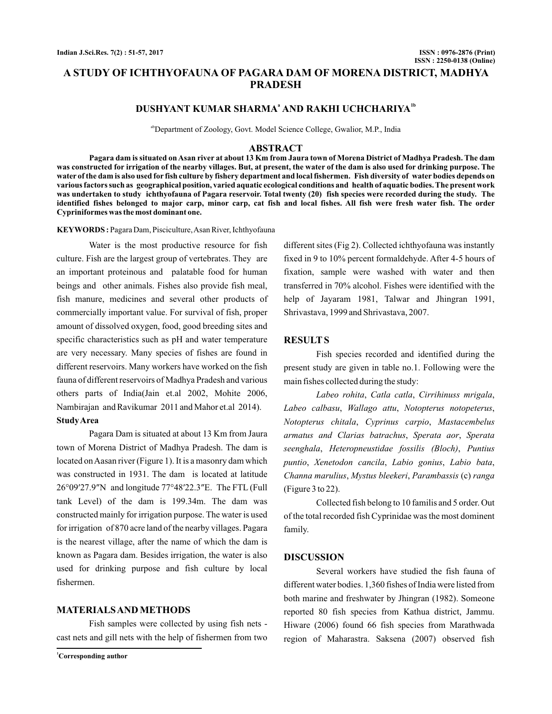# **A STUDY OF ICHTHYOFAUNA OF PAGARA DAM OF MORENA DISTRICT, MADHYA PRADESH**

# **DUSHYANT KUMAR SHARMA<sup>ª</sup> AND RAKHI UCHCHARIYA<sup>1b</sup>**

abDepartment of Zoology, Govt. Model Science College, Gwalior, M.P., India

### **ABSTRACT**

**Pagara dam is situated on Asan river at about 13 Km from Jaura town of Morena District of Madhya Pradesh. The dam was constructed for irrigation of the nearby villages. But, at present, the water of the dam is also used for drinking purpose. The water of the dam is also used for fish culture by fishery department and local fishermen. Fish diversity of water bodies depends on various factors such as geographical position, varied aquatic ecological conditions and health of aquatic bodies. The present work was undertaken to study ichthyofauna of Pagara reservoir. Total twenty (20) fish species were recorded during the study. The identified fishes belonged to major carp, minor carp, cat fish and local fishes. All fish were fresh water fish. The order Cypriniformes was the most dominant one.**

**KEYWORDS :** Pagara Dam, Pisciculture, Asan River, Ichthyofauna

Water is the most productive resource for fish culture. Fish are the largest group of vertebrates. They are an important proteinous and palatable food for human beings and other animals. Fishes also provide fish meal, fish manure, medicines and several other products of commercially important value. For survival of fish, proper amount of dissolved oxygen, food, good breeding sites and specific characteristics such as pH and water temperature are very necessary. Many species of fishes are found in different reservoirs. Many workers have worked on the fish fauna of different reservoirs of Madhya Pradesh and various others parts of India(Jain et.al 2002, Mohite 2006, Nambirajan and Ravikumar 2011 and Mahor et.al 2014). **StudyArea**

Pagara Dam is situated at about 13 Km from Jaura town of Morena District of Madhya Pradesh. The dam is located on Aasan river (Figure 1). It is a masonry dam which was constructed in 1931. The dam is located at latitude 26°09′27.9″N and longitude 77°48′22.3″E. The FTL (Full tank Level) of the dam is 199.34m. The dam was constructed mainly for irrigation purpose. The water is used for irrigation of 870 acre land of the nearby villages. Pagara is the nearest village, after the name of which the dam is known as Pagara dam. Besides irrigation, the water is also used for drinking purpose and fish culture by local fishermen.

## **MATERIALSAND METHODS**

Fish samples were collected by using fish nets cast nets and gill nets with the help of fishermen from two different sites (Fig 2). Collected ichthyofauna was instantly fixed in 9 to 10% percent formaldehyde. After 4-5 hours of fixation, sample were washed with water and then transferred in 70% alcohol. Fishes were identified with the help of Jayaram 1981, Talwar and Jhingran 1991, Shrivastava, 1999 and Shrivastava, 2007.

## **RESULT S**

Fish species recorded and identified during the present study are given in table no.1. Following were the main fishes collected during the study:

Labeo rohita, Catla catla, Cirrihinuss mrigala, Labeo calbasu, Wallago attu, Notopterus notopeterus, , , *Notopterus chitala Cyprinus carpio Mastacembelus* armatus and Clarias batrachus, Sperata aor, Sperata , , *seenghala Heteropneustidae fossilis (Bloch) Puntius* puntio, Xenetodon cancila, Labio gonius, Labio bata, Channa marulius, Mystus bleekeri, Parambassis (c) ranga (Figure 3 to 22).

Collected fish belong to 10 familis and 5 order. Out of the total recorded fish Cyprinidae was the most dominent family.

### **DISCUSSION**

Several workers have studied the fish fauna of different water bodies. 1,360 fishes of India were listed from both marine and freshwater by Jhingran (1982). Someone reported 80 fish species from Kathua district, Jammu. Hiware (2006) found 66 fish species from Marathwada region of Maharastra. Saksena (2007) observed fish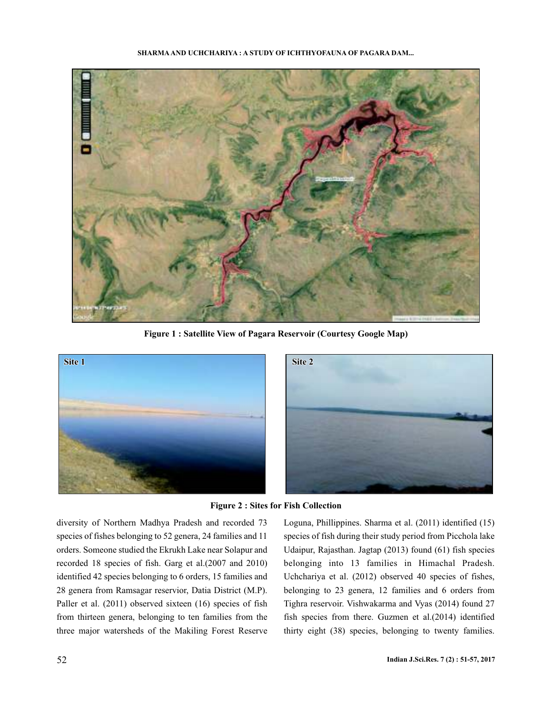

**Figure 1 : Satellite View of Pagara Reservoir (Courtesy Google Map)**



**Figure 2 : Sites for Fish Collection**

diversity of Northern Madhya Pradesh and recorded 73 species of fishes belonging to 52 genera, 24 families and 11 orders. Someone studied the Ekrukh Lake near Solapur and recorded 18 species of fish. Garg et al.(2007 and 2010) identified 42 species belonging to 6 orders, 15 families and 28 genera from Ramsagar reservior, Datia District (M.P). Paller et al. (2011) observed sixteen (16) species of fish from thirteen genera, belonging to ten families from the three major watersheds of the Makiling Forest Reserve

Loguna, Phillippines. Sharma et al. (2011) identified (15) species of fish during their study period from Picchola lake Udaipur, Rajasthan. Jagtap (2013) found (61) fish species belonging into 13 families in Himachal Pradesh. Uchchariya et al. (2012) observed 40 species of fishes, belonging to 23 genera, 12 families and 6 orders from Tighra reservoir. Vishwakarma and Vyas (2014) found 27 fish species from there. Guzmen et al.(2014) identified thirty eight (38) species, belonging to twenty families.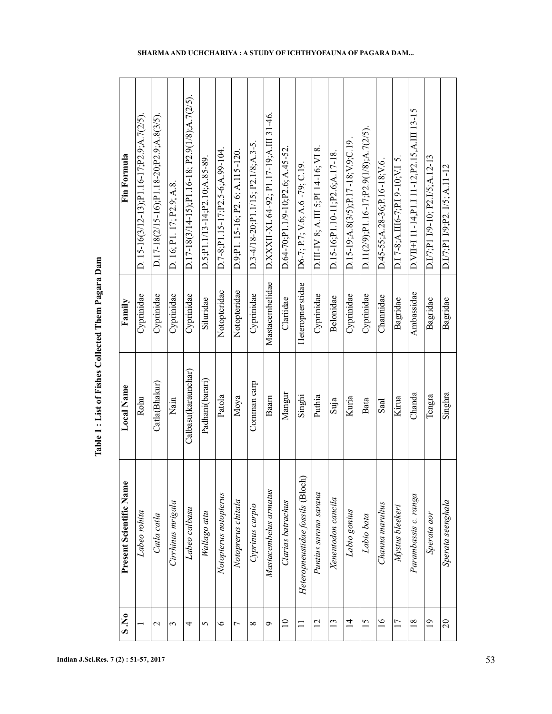| S.N.0           | Present Scientific Name          | Local Name          | Family           | Fin Formula                                              |
|-----------------|----------------------------------|---------------------|------------------|----------------------------------------------------------|
|                 | Labeo rohita                     | Rohu                | Cyprinidae       | D. $15-16(3/12-13);$ P1.16-17;P2.9;A.7(2/5).             |
| 2               | Catla catla                      | Catla(Bhakur)       | Cyprinidae       | $D.17 - 18(2/15 - 16); P1.18 - 20; P2.9; A.8(3/5)$       |
| 3               | Cirrhinus mrigala                | Nain                | Cyprinidae       | D. 16; P1. 17; P2.9; A.8.                                |
| 4               | Labeo calbasu                    | Calbasu(karaunchar) | Cyprinidae       | $D.17 - 18(3/14 - 15); P1.16 - 18; P2.9(1/8); A.7(2/5).$ |
| 5               | Wallago attu                     | Padhani(barari)     | Siluridae        | $D.5$ ; P1.1/13-14; P2.10; A.85-89.                      |
| $\circ$         | Notopterus notopterus            | Patola              | Notopteridae     | $D.7-8$ ; $P1.15-17$ ; $P2.5-6$ ; $A.99-104$             |
| 7               | Notoprerus chitala               | Моуа                | Notopteridae     | $D.9;P1. 15-16; P2. 6; A.115-120.$                       |
| $\infty$        | Cyprinus carpio                  | Comman carp         | Cyprinidae       | D.3-4/18-20;P1.1/15; P2.1/8;A.3-5.                       |
| Ç               | Mastacembelus armatus            | Baam                | Mastacembelidae  | D.XXXII-XL 64-92; P1.17-19; A.III 31-46.                 |
| $\overline{a}$  | Clarias batrachus                | Mangur              | Clariidae        | D.64-70;P1.1/9-10;P2.6; A.45-52.                         |
|                 | Heteropneustidae fossils (Bloch) | Singhi              | Heteropnerstidae | D6-7; P.7; V.6; A.6 -79; C.19.                           |
| $\overline{2}$  | Puntius sarana sarana            | Puthia              | Cyprinidae       | D.III-IV 8; A.III 5; PI 14-16; VI 8                      |
| $\mathbf{13}$   | Xenentodon cancila               | Suja                | Belonidae        | D.15-16;P1.10-11;P2.6;A.17-18                            |
| $\overline{4}$  | Labio gonius                     | Kuria               | Cyprinidae       | $D.15-19; A.8(3/5); P.17-18; V.9; C.19$                  |
| $\overline{15}$ | Labio bata                       | Bata                | Cyprinidae       | $D.11(2/9); P1.16-17; P2.9(1/8); A.7(2/5)$               |
| $\frac{6}{1}$   | Channa marulius                  | Saal                | Channidae        | $D.45 - 55; A.28 - 36; P.16 - 18; V.6$ .                 |
| $\overline{17}$ | Mystus bleekeri                  | Kirua               | Bagridae         | D.I 7-8;A.III6-7;P.I 9-10;V.I 5                          |
| $\frac{8}{18}$  | Parambassis c. ranga             | Chanda              | Ambassidae       | D. VII+I 11-14, P1.I 11-12, P2.15, A.III 13-15           |
| $\overline{0}$  | Sperata aor                      | Tengra              | Bagridae         | D.I/7;P1 I/9-10; P2.I/5;A.12-13                          |
| $\overline{c}$  | Sperata seenghala                | Singhra             | Bagridae         | D.I/7;P1 I/9;P2. I/5; A.11-12                            |

Table 1 : List of Fishes Collected Them Pagara Dam **Table 1 : List of Fishes Collected Them Pagara Dam**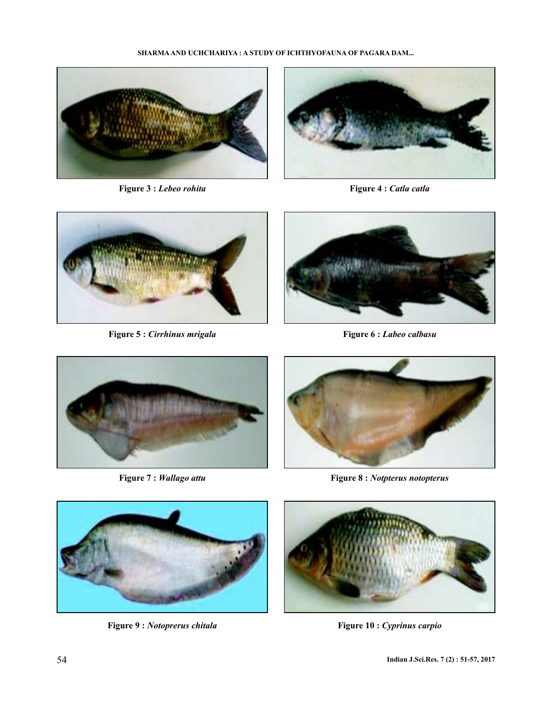

**Figure 3 :** *Lebeo rohita*



**Figure 4 :** *Catla catla*



**Figure 5 :** *Cirrhinus mrigala*



**Figure 6 :** *Labeo calbasu*



**Figure 7 :** *Wallago attu*



**Figure 8 :** *Notpterus notopterus*



**Figure 9 :** *Notoprerus chitala*



**Figure 10 :** *Cyprinus carpio*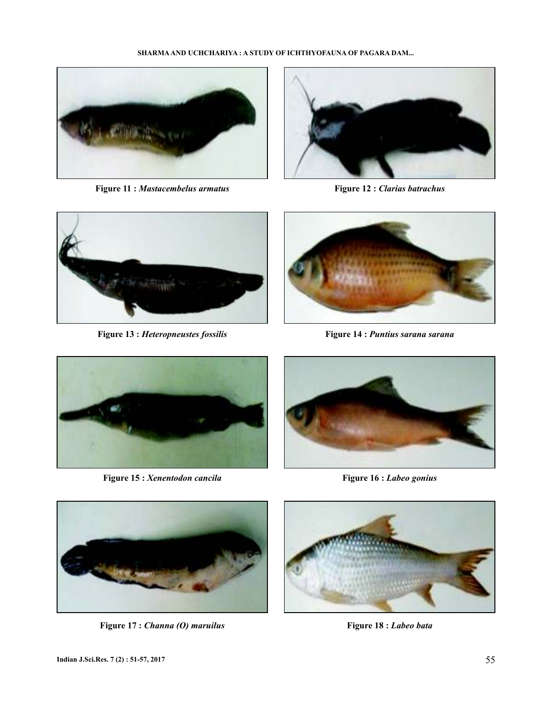

**Figure 11 :** *Mastacembelus armatus*



**Figure 12 :** *Clarias batrachus*



**Figure 13 :** *Heteropneustes fossilis*



**Figure 14 :** *Puntius sarana sarana*



**Figure 15 :** *Xenentodon cancila*



**Figure 16 :** *Labeo gonius*



**Figure 17 :** *Channa (O) maruilus*



**Figure 18 :** *Labeo bata*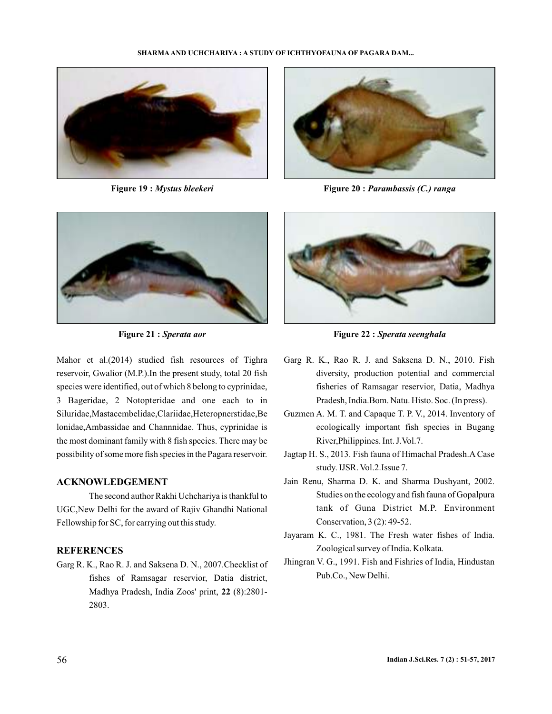

**Figure 19 :** *Mystus bleekeri*



**Figure 20 :** *Parambassis (C.) ranga*



**Figure 21 :** *Sperata aor*

Mahor et al.(2014) studied fish resources of Tighra reservoir, Gwalior (M.P.).In the present study, total 20 fish species were identified, out of which 8 belong to cyprinidae, 3 Bageridae, 2 Notopteridae and one each to in Siluridae,Mastacembelidae,Clariidae,Heteropnerstidae,Be lonidae,Ambassidae and Channnidae. Thus, cyprinidae is the most dominant family with 8 fish species. There may be possibility of some more fish species in the Pagara reservoir.

## **ACKNOWLEDGEMENT**

The second author Rakhi Uchchariya is thankful to UGC,New Delhi for the award of Rajiv Ghandhi National Fellowship for SC, for carrying out this study.

## **REFERENCES**

Garg R. K., Rao R. J. and Saksena D. N., 2007.Checklist of fishes of Ramsagar reservior, Datia district, Madhya Pradesh, India Zoos' print, 22 (8):2801-2803.



**Figure 22 :** *Sperata seenghala*

- Garg R. K., Rao R. J. and Saksena D. N., 2010. Fish diversity, production potential and commercial fisheries of Ramsagar reservior, Datia, Madhya Pradesh, India.Bom. Natu. Histo. Soc. (In press).
- Guzmen A. M. T. and Capaque T. P. V., 2014. Inventory of ecologically important fish species in Bugang River,Philippines. Int. J.Vol.7.
- Jagtap H. S., 2013. Fish fauna of Himachal Pradesh.A Case study. IJSR. Vol.2.Issue 7.
- Jain Renu, Sharma D. K. and Sharma Dushyant, 2002. Studies on the ecology and fish fauna of Gopalpura tank of Guna District M.P. Environment Conservation, 3 (2): 49-52.
- Jayaram K. C., 1981. The Fresh water fishes of India. Zoological survey of India. Kolkata.
- Jhingran V. G., 1991. Fish and Fishries of India, Hindustan Pub.Co., New Delhi.